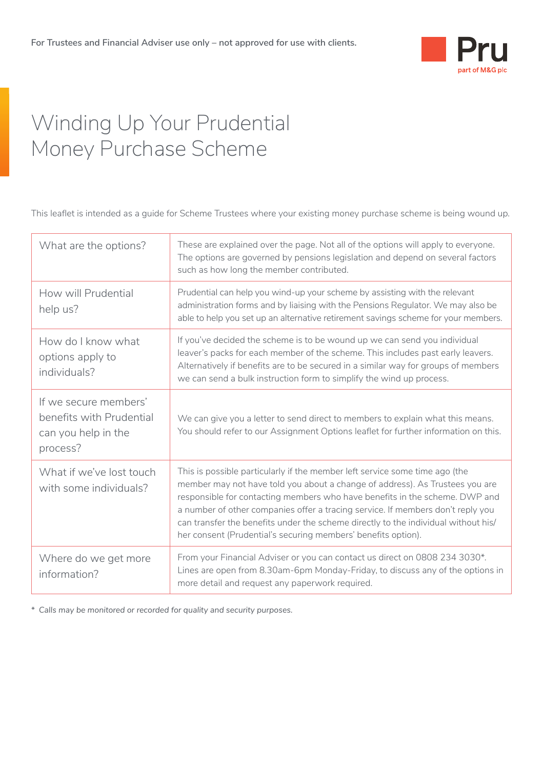

# Winding Up Your Prudential Money Purchase Scheme

This leaflet is intended as a guide for Scheme Trustees where your existing money purchase scheme is being wound up.

| What are the options?                                                                | These are explained over the page. Not all of the options will apply to everyone.<br>The options are governed by pensions legislation and depend on several factors<br>such as how long the member contributed.                                                                                                                                                                                                                                                                      |  |
|--------------------------------------------------------------------------------------|--------------------------------------------------------------------------------------------------------------------------------------------------------------------------------------------------------------------------------------------------------------------------------------------------------------------------------------------------------------------------------------------------------------------------------------------------------------------------------------|--|
| How will Prudential<br>help us?                                                      | Prudential can help you wind-up your scheme by assisting with the relevant<br>administration forms and by liaising with the Pensions Regulator. We may also be<br>able to help you set up an alternative retirement savings scheme for your members.                                                                                                                                                                                                                                 |  |
| How do I know what<br>options apply to<br>individuals?                               | If you've decided the scheme is to be wound up we can send you individual<br>leaver's packs for each member of the scheme. This includes past early leavers.<br>Alternatively if benefits are to be secured in a similar way for groups of members<br>we can send a bulk instruction form to simplify the wind up process.                                                                                                                                                           |  |
| If we secure members'<br>benefits with Prudential<br>can you help in the<br>process? | We can give you a letter to send direct to members to explain what this means.<br>You should refer to our Assignment Options leaflet for further information on this.                                                                                                                                                                                                                                                                                                                |  |
| What if we've lost touch<br>with some individuals?                                   | This is possible particularly if the member left service some time ago (the<br>member may not have told you about a change of address). As Trustees you are<br>responsible for contacting members who have benefits in the scheme. DWP and<br>a number of other companies offer a tracing service. If members don't reply you<br>can transfer the benefits under the scheme directly to the individual without his/<br>her consent (Prudential's securing members' benefits option). |  |
| Where do we get more<br>information?                                                 | From your Financial Adviser or you can contact us direct on 0808 234 3030*.<br>Lines are open from 8.30am-6pm Monday-Friday, to discuss any of the options in<br>more detail and request any paperwork required.                                                                                                                                                                                                                                                                     |  |

*\* Calls may be monitored or recorded for quality and security purposes.*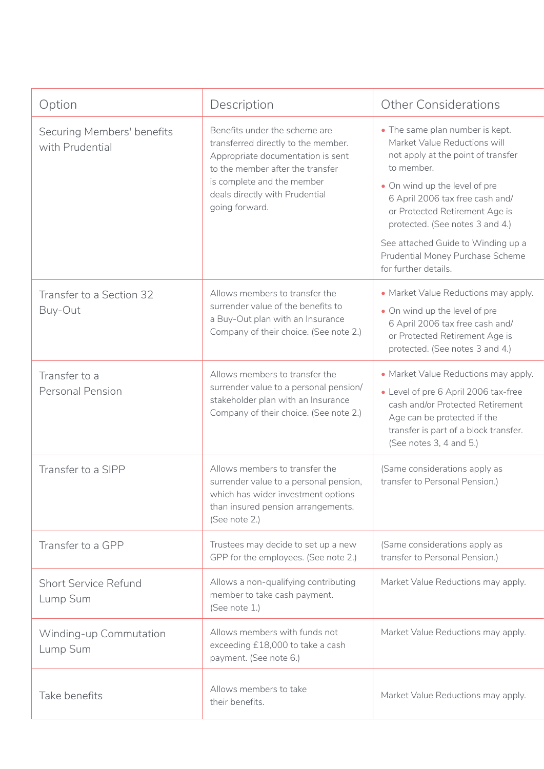| Option                                        | Description                                                                                                                                                                                                                     | <b>Other Considerations</b>                                                                                                                                                                                                                                                                                                                                    |
|-----------------------------------------------|---------------------------------------------------------------------------------------------------------------------------------------------------------------------------------------------------------------------------------|----------------------------------------------------------------------------------------------------------------------------------------------------------------------------------------------------------------------------------------------------------------------------------------------------------------------------------------------------------------|
| Securing Members' benefits<br>with Prudential | Benefits under the scheme are<br>transferred directly to the member.<br>Appropriate documentation is sent<br>to the member after the transfer<br>is complete and the member<br>deals directly with Prudential<br>going forward. | • The same plan number is kept.<br>Market Value Reductions will<br>not apply at the point of transfer<br>to member.<br>• On wind up the level of pre<br>6 April 2006 tax free cash and/<br>or Protected Retirement Age is<br>protected. (See notes 3 and 4.)<br>See attached Guide to Winding up a<br>Prudential Money Purchase Scheme<br>for further details. |
| Transfer to a Section 32<br>Buy-Out           | Allows members to transfer the<br>surrender value of the benefits to<br>a Buy-Out plan with an Insurance<br>Company of their choice. (See note 2.)                                                                              | • Market Value Reductions may apply.<br>• On wind up the level of pre<br>6 April 2006 tax free cash and/<br>or Protected Retirement Age is<br>protected. (See notes 3 and 4.)                                                                                                                                                                                  |
| Transfer to a<br><b>Personal Pension</b>      | Allows members to transfer the<br>surrender value to a personal pension/<br>stakeholder plan with an Insurance<br>Company of their choice. (See note 2.)                                                                        | • Market Value Reductions may apply.<br>• Level of pre 6 April 2006 tax-free<br>cash and/or Protected Retirement<br>Age can be protected if the<br>transfer is part of a block transfer.<br>(See notes 3, 4 and 5.)                                                                                                                                            |
| Transfer to a SIPP                            | Allows members to transfer the<br>surrender value to a personal pension,<br>which has wider investment options<br>than insured pension arrangements.<br>(See note 2.)                                                           | (Same considerations apply as<br>transfer to Personal Pension.)                                                                                                                                                                                                                                                                                                |
| Transfer to a GPP                             | Trustees may decide to set up a new<br>GPP for the employees. (See note 2.)                                                                                                                                                     | (Same considerations apply as<br>transfer to Personal Pension.)                                                                                                                                                                                                                                                                                                |
| <b>Short Service Refund</b><br>Lump Sum       | Allows a non-qualifying contributing<br>member to take cash payment.<br>(See note 1.)                                                                                                                                           | Market Value Reductions may apply.                                                                                                                                                                                                                                                                                                                             |
| Winding-up Commutation<br>Lump Sum            | Allows members with funds not<br>exceeding £18,000 to take a cash<br>payment. (See note 6.)                                                                                                                                     | Market Value Reductions may apply.                                                                                                                                                                                                                                                                                                                             |
| Take benefits                                 | Allows members to take<br>their benefits.                                                                                                                                                                                       | Market Value Reductions may apply.                                                                                                                                                                                                                                                                                                                             |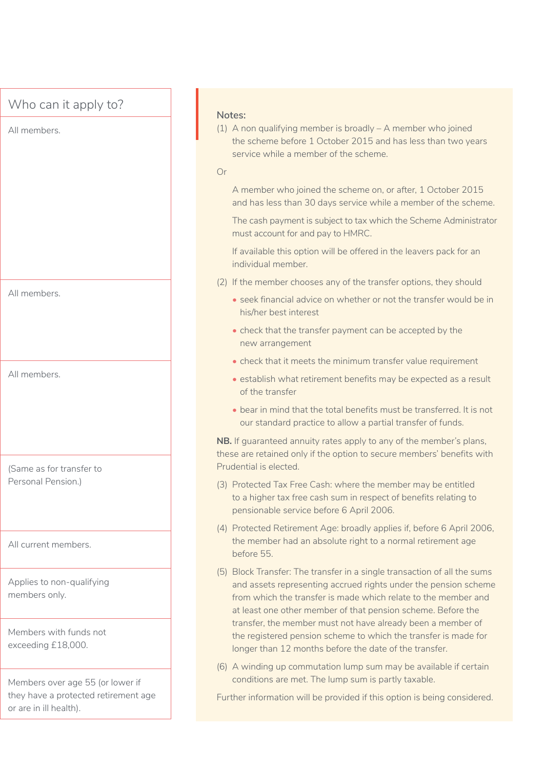### Who can it apply to?

All members.

All members.

All members.

(Same as for transfer to Personal Pension.)

All current members.

Applies to non-qualifying members only.

Members with funds not exceeding £18,000.

Members over age 55 (or lower if they have a protected retirement age or are in ill health).

#### **Notes:**

(1) A non qualifying member is broadly – A member who joined the scheme before 1 October 2015 and has less than two years service while a member of the scheme.

#### Or

A member who joined the scheme on, or after, 1 October 2015 and has less than 30 days service while a member of the scheme.

The cash payment is subject to tax which the Scheme Administrator must account for and pay to HMRC.

If available this option will be offered in the leavers pack for an individual member.

- (2) If the member chooses any of the transfer options, they should
	- seek financial advice on whether or not the transfer would be in his/her best interest
	- check that the transfer payment can be accepted by the new arrangement
	- check that it meets the minimum transfer value requirement
	- establish what retirement benefits may be expected as a result of the transfer
	- bear in mind that the total benefits must be transferred. It is not our standard practice to allow a partial transfer of funds.

**NB.** If guaranteed annuity rates apply to any of the member's plans, these are retained only if the option to secure members' benefits with Prudential is elected.

- (3) Protected Tax Free Cash: where the member may be entitled to a higher tax free cash sum in respect of benefits relating to pensionable service before 6 April 2006.
- (4) Protected Retirement Age: broadly applies if, before 6 April 2006, the member had an absolute right to a normal retirement age before 55.
- (5) Block Transfer: The transfer in a single transaction of all the sums and assets representing accrued rights under the pension scheme from which the transfer is made which relate to the member and at least one other member of that pension scheme. Before the transfer, the member must not have already been a member of the registered pension scheme to which the transfer is made for longer than 12 months before the date of the transfer.
- (6) A winding up commutation lump sum may be available if certain conditions are met. The lump sum is partly taxable.

Further information will be provided if this option is being considered.